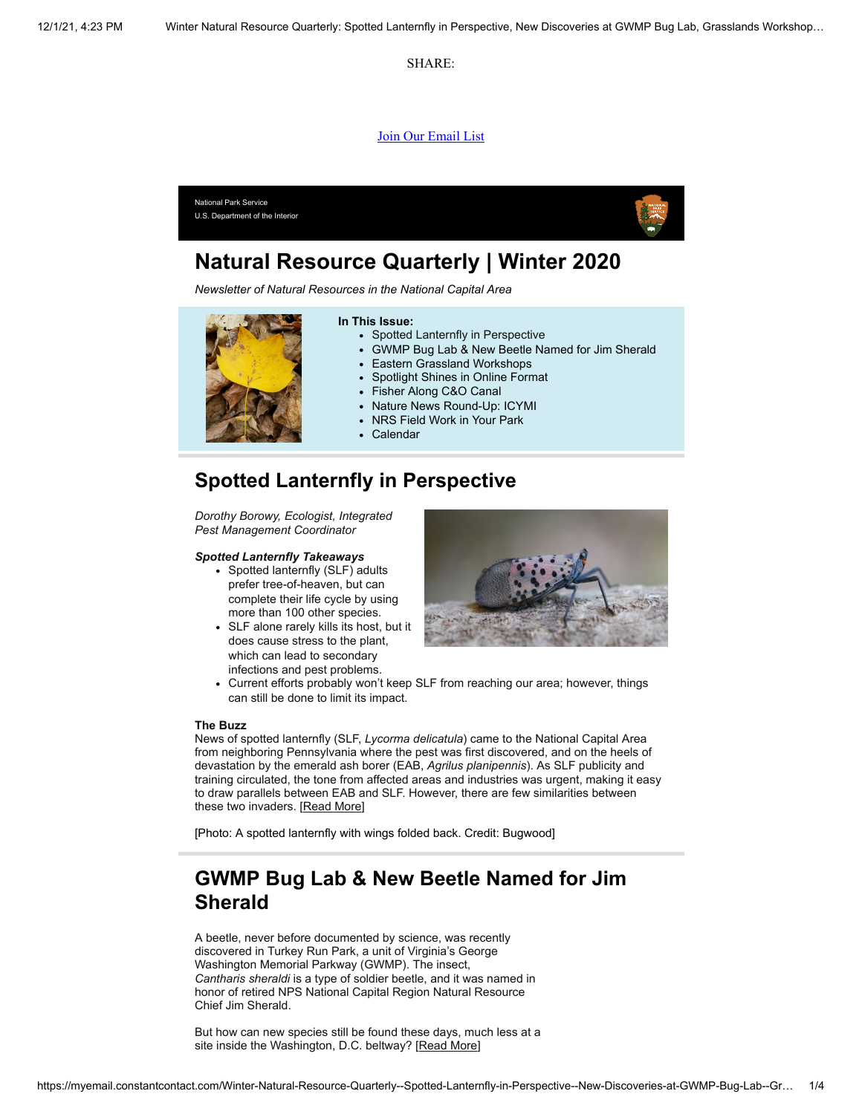SHARE:

#### [Join Our Email List](https://visitor.constantcontact.com/d.jsp?m=1128216099194&p=oi)



# **Natural Resource Quarterly | Winter 2020**

*Newsletter of Natural Resources in the National Capital Area*



### **Spotted Lanternfly in Perspective**

*Dorothy Borowy, Ecologist, Integrated Pest Management Coordinator*

#### *Spotted Lanternfly Takeaways*

- Spotted lanternfly (SLF) adults prefer tree-of-heaven, but can complete their life cycle by using more than 100 other species.
- SLF alone rarely kills its host, but it does cause stress to the plant, which can lead to secondary infections and pest problems.



Current efforts probably won't keep SLF from reaching our area; however, things can still be done to limit its impact.

#### **The Buzz**

News of spotted lanternfly (SLF, *Lycorma delicatula*) came to the National Capital Area from neighboring Pennsylvania where the pest was first discovered, and on the heels of devastation by the emerald ash borer (EAB, *Agrilus planipennis*). As SLF publicity and training circulated, the tone from affected areas and industries was urgent, making it easy to draw parallels between EAB and SLF. However, there are few similarities between these two invaders. [[Read More](https://www.nps.gov/articles/000/slf-in-perpective.htm)]

[Photo: A spotted lanternfly with wings folded back. Credit: Bugwood]

## **GWMP Bug Lab & New Beetle Named for Jim Sherald**

A beetle, never before documented by science, was recently discovered in Turkey Run Park, a unit of Virginia's George Washington Memorial Parkway (GWMP). The insect, *Cantharis sheraldi* is a type of soldier beetle, and it was named in honor of retired NPS National Capital Region Natural Resource Chief Jim Sherald.

But how can new species still be found these days, much less at a site inside the Washington, D.C. beltway? [[Read More](https://www.nps.gov/articles/000/discoveries-at-the-bug-lab.htm)]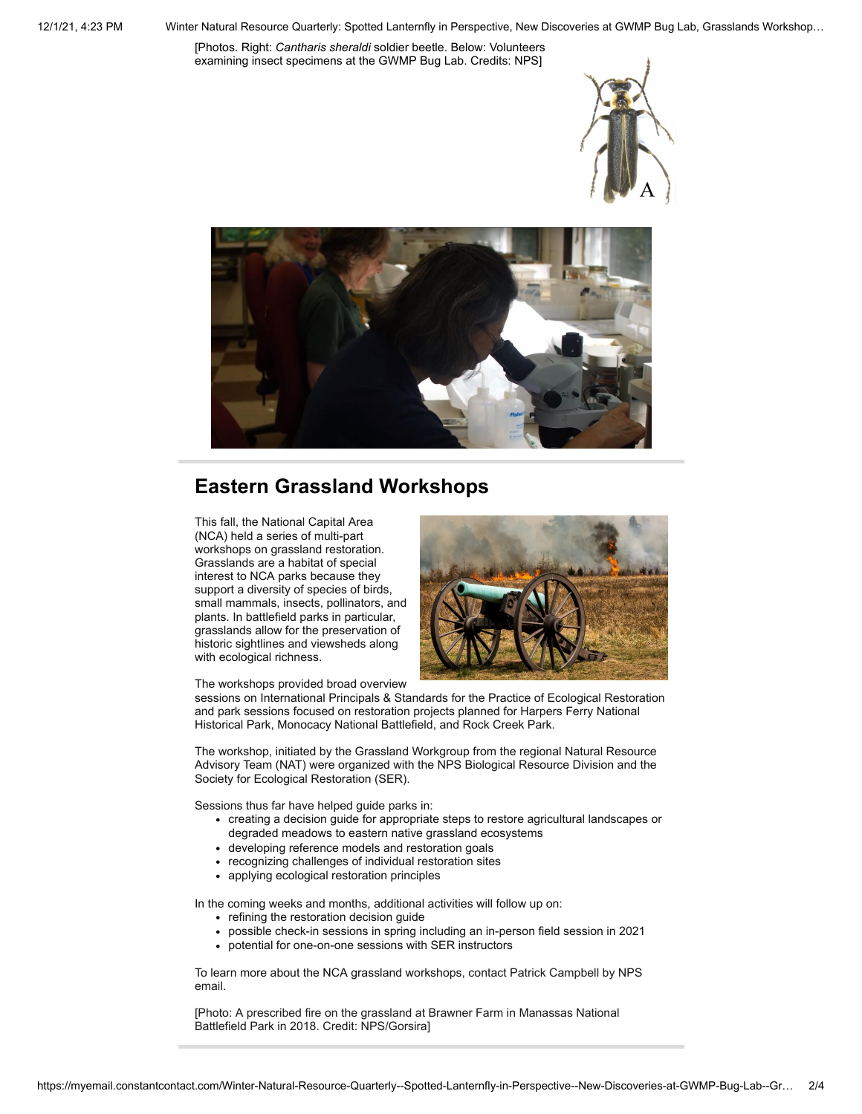[Photos. Right: *Cantharis sheraldi* soldier beetle. Below: Volunteers examining insect specimens at the GWMP Bug Lab. Credits: NPS]





# **Eastern Grassland Workshops**

This fall, the National Capital Area (NCA) held a series of multi-part workshops on grassland restoration. Grasslands are a habitat of special interest to NCA parks because they support a diversity of species of birds, small mammals, insects, pollinators, and plants. In battlefield parks in particular, grasslands allow for the preservation of historic sightlines and viewsheds along with ecological richness.



The workshops provided broad overview

sessions on International Principals & Standards for the Practice of Ecological Restoration and park sessions focused on restoration projects planned for Harpers Ferry National Historical Park, Monocacy National Battlefield, and Rock Creek Park.

The workshop, initiated by the Grassland Workgroup from the regional Natural Resource Advisory Team (NAT) were organized with the NPS Biological Resource Division and the Society for Ecological Restoration (SER).

Sessions thus far have helped guide parks in:

- creating a decision guide for appropriate steps to restore agricultural landscapes or degraded meadows to eastern native grassland ecosystems
- developing reference models and restoration goals
- recognizing challenges of individual restoration sites
- applying ecological restoration principles

In the coming weeks and months, additional activities will follow up on:

- refining the restoration decision guide
- possible check-in sessions in spring including an in-person field session in 2021
- potential for one-on-one sessions with SER instructors

To learn more about the NCA grassland workshops, contact Patrick Campbell by NPS email.

[Photo: A prescribed fire on the grassland at Brawner Farm in Manassas National Battlefield Park in 2018. Credit: NPS/Gorsira]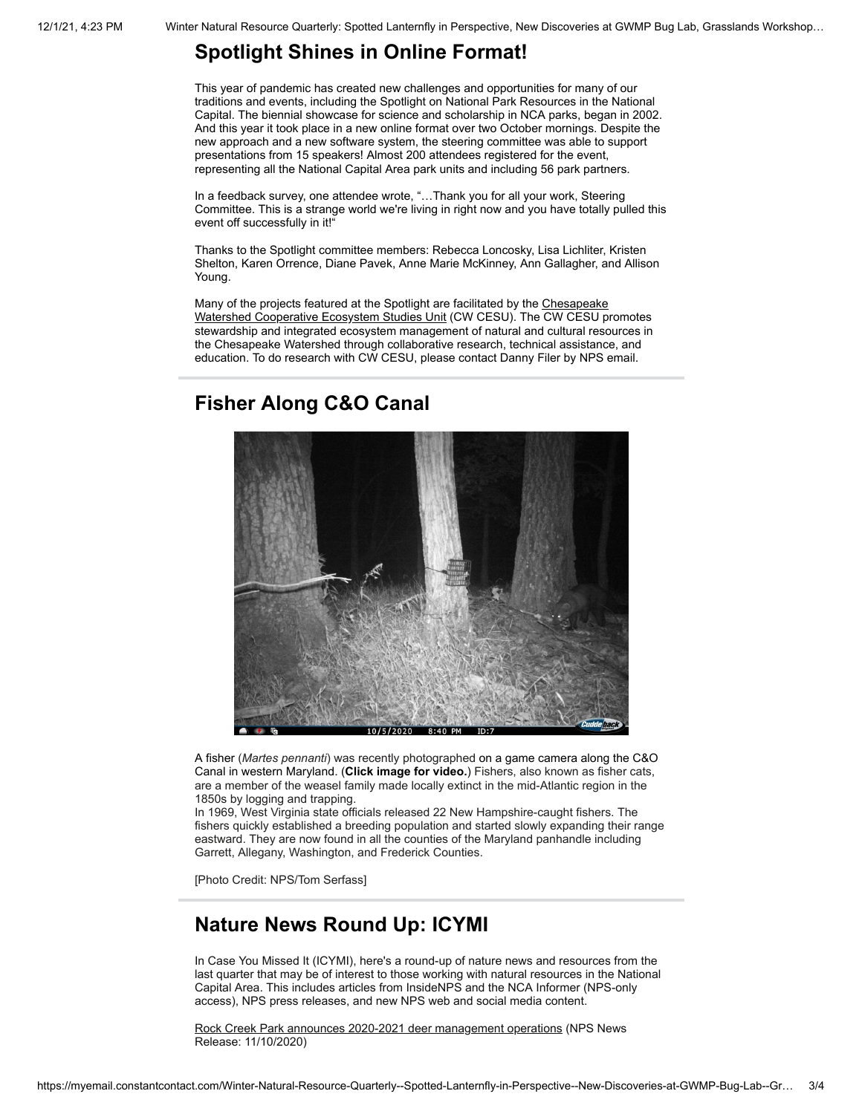### **Spotlight Shines in Online Format!**

This year of pandemic has created new challenges and opportunities for many of our traditions and events, including the Spotlight on National Park Resources in the National Capital. The biennial showcase for science and scholarship in NCA parks, began in 2002. And this year it took place in a new online format over two October mornings. Despite the new approach and a new software system, the steering committee was able to support presentations from 15 speakers! Almost 200 attendees registered for the event, representing all the National Capital Area park units and including 56 park partners.

In a feedback survey, one attendee wrote, "…Thank you for all your work, Steering Committee. This is a strange world we're living in right now and you have totally pulled this event off successfully in it!"

Thanks to the Spotlight committee members: Rebecca Loncosky, Lisa Lichliter, Kristen Shelton, Karen Orrence, Diane Pavek, Anne Marie McKinney, Ann Gallagher, and Allison Young.

Many of the projects featured at the Spotlight are facilitated by the Chesapeake [Watershed Cooperative Ecosystem Studies Unit \(CW CESU\). The CW CESU p](https://chwacesu.org/)romotes stewardship and integrated ecosystem management of natural and cultural resources in the Chesapeake Watershed through collaborative research, technical assistance, and education. To do research with CW CESU, please contact Danny Filer by NPS email.

#### **Fisher Along C&O Canal**



A fisher (*Martes pennanti*) was recently photographed on a game camera along the C&O Canal in western Maryland. (**Click image for video.**) Fishers, also known as fisher cats, are a member of the weasel family made locally extinct in the mid-Atlantic region in the 1850s by logging and trapping.

In 1969, West Virginia state officials released 22 New Hampshire-caught fishers. The fishers quickly established a breeding population and started slowly expanding their range eastward. They are now found in all the counties of the Maryland panhandle including Garrett, Allegany, Washington, and Frederick Counties.

[Photo Credit: NPS/Tom Serfass]

### **Nature News Round Up: ICYMI**

In Case You Missed It (ICYMI), here's a round-up of nature news and resources from the last quarter that may be of interest to those working with natural resources in the National Capital Area. This includes articles from InsideNPS and the NCA Informer (NPS-only access), NPS press releases, and new NPS web and social media content.

[Rock Creek Park announces 2020-2021 deer management operations](https://www.nps.gov/rocr/learn/news/rocr-2020-2021-deer-management-operations.htm) (NPS News Release: 11/10/2020)